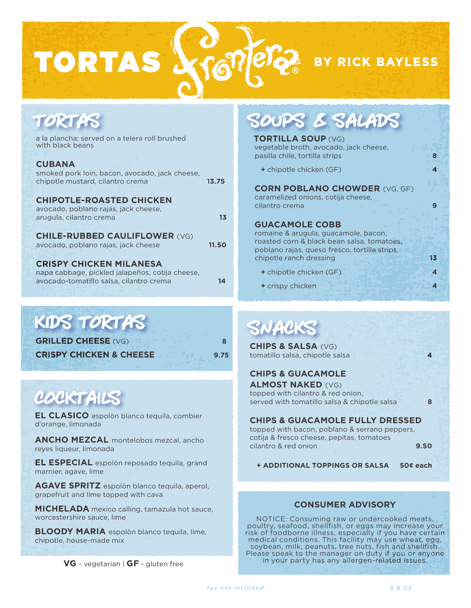BY RICK BAYLESS

| TORTAS                                                                                                                         | SOUPS & SALADS                                                                                        |
|--------------------------------------------------------------------------------------------------------------------------------|-------------------------------------------------------------------------------------------------------|
| a la plancha; served on a telera roll brushed                                                                                  | <b>TORTILLA SOUP (VG)</b>                                                                             |
| with black beans                                                                                                               | vegetable broth, avocado, jack cheese,                                                                |
| <b>CUBANA</b>                                                                                                                  | pasilla chile, tortilla strips                                                                        |
| smoked pork loin, bacon, avocado, jack cheese,<br>chipotle mustard, cilantro crema<br>13.75<br><b>CHIPOTLE-ROASTED CHICKEN</b> | + chipotle chicken (GF)<br><b>CORN POBLANO CHOWDER (VG, GF)</b><br>caramelized onions, cotija cheese, |
| avocado, poblano rajas, jack cheese,                                                                                           | cilantro crema                                                                                        |
| arugula, cilantro crema                                                                                                        | <b>GUACAMOLE COBB</b>                                                                                 |
| 1 <sub>3</sub>                                                                                                                 | romaine & arugula, guacamole, bacon,                                                                  |
| <b>CHILE-RUBBED CAULIFLOWER (VG)</b>                                                                                           | roasted corn & black bean salsa, tomatoes,                                                            |
| avocado, poblano rajas, jack cheese                                                                                            | poblano rajas, queso fresco, tortilla strips,                                                         |
| 11.50                                                                                                                          | chipotle ranch dressing                                                                               |
| <b>CRISPY CHICKEN MILANESA</b>                                                                                                 | 13                                                                                                    |
| napa cabbage, pickled jalapeños, cotija cheese,<br>avocado-tomatillo salsa, cilantro crema<br>14                               | + chipotle chicken (GF)<br>+ crispy chicken                                                           |

## KIDS TORTAS

**GRILLED CHEESE** (VG) **8 CRISPY CHICKEN & CHEESE 9.75**

**TORTAS** 

# COCKTAILS

**EL CLASICO** espolòn blanco tequila, combier d'orange, limonada

**ANCHO MEZCAL** montelobos mezcal, ancho reyes liqueur, limonada

**EL ESPECIAL** espolòn reposado tequila, grand marnier, agave, lime

**AGAVE SPRITZ** espolòn blanco tequila, aperol, grapefruit and lime topped with cava

**MICHELADA** mexico calling, tamazula hot sauce, worcestershire sauce, lime

**BLOODY MARIA** espolòn blanco tequila, lime, chipotle, house-made mix

**VG** - vegetarian | **GF** - gluten free

# SNACKS

**CHIPS & SALSA** (VG) tomatillo salsa, chipotle salsa **4** 

## **CHIPS & GUACAMOLE**

**ALMOST NAKED** (VG) topped with cilantro & red onion, served with tomatillo salsa & chipotle salsa **8**

### **CHIPS & GUACAMOLE FULLY DRESSED**

topped with bacon, poblano & serrano peppers, cotija & fresco cheese, pepitas, tomatoes cilantro & red onion **9.50**

**+ ADDITIONAL TOPPINGS OR SALSA 50¢ each**

## **CONSUMER ADVISORY**

NOTICE: Consuming raw or undercooked meats, poultry, seafood, shellfish, or eggs may increase your risk of foodborne illness, especially if you have certain medical conditions. This facility may use wheat, egg, soybean, milk, peanuts, tree nuts, fish and shellfish. Please speak to the manager on duty if you or anyone in your party has any allergen-related issues.